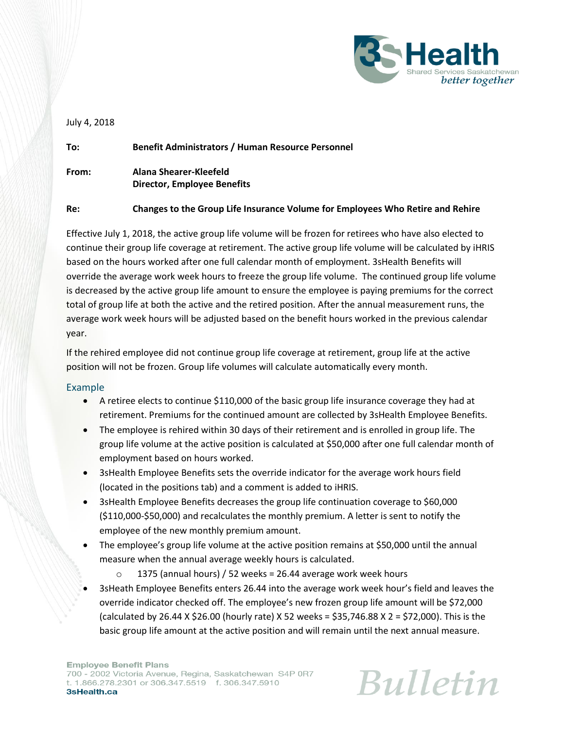

## July 4, 2018

| To:   | <b>Benefit Administrators / Human Resource Personnel</b> |
|-------|----------------------------------------------------------|
| From: | Alana Shearer-Kleefeld<br>Director, Employee Benefits    |
|       |                                                          |

## **Re: Changes to the Group Life Insurance Volume for Employees Who Retire and Rehire**

Effective July 1, 2018, the active group life volume will be frozen for retirees who have also elected to continue their group life coverage at retirement. The active group life volume will be calculated by iHRIS based on the hours worked after one full calendar month of employment. 3sHealth Benefits will override the average work week hours to freeze the group life volume. The continued group life volume is decreased by the active group life amount to ensure the employee is paying premiums for the correct total of group life at both the active and the retired position. After the annual measurement runs, the average work week hours will be adjusted based on the benefit hours worked in the previous calendar year.

If the rehired employee did not continue group life coverage at retirement, group life at the active position will not be frozen. Group life volumes will calculate automatically every month.

## Example

- A retiree elects to continue \$110,000 of the basic group life insurance coverage they had at retirement. Premiums for the continued amount are collected by 3sHealth Employee Benefits.
- The employee is rehired within 30 days of their retirement and is enrolled in group life. The group life volume at the active position is calculated at \$50,000 after one full calendar month of employment based on hours worked.
- 3sHealth Employee Benefits sets the override indicator for the average work hours field (located in the positions tab) and a comment is added to iHRIS.
- 3sHealth Employee Benefits decreases the group life continuation coverage to \$60,000 (\$110,000-\$50,000) and recalculates the monthly premium. A letter is sent to notify the employee of the new monthly premium amount.
- The employee's group life volume at the active position remains at \$50,000 until the annual measure when the annual average weekly hours is calculated.
	- $\circ$  1375 (annual hours) / 52 weeks = 26.44 average work week hours
- 3sHeath Employee Benefits enters 26.44 into the average work week hour's field and leaves the override indicator checked off. The employee's new frozen group life amount will be \$72,000 (calculated by 26.44 X \$26.00 (hourly rate) X 52 weeks = \$35,746.88 X 2 = \$72,000). This is the basic group life amount at the active position and will remain until the next annual measure.